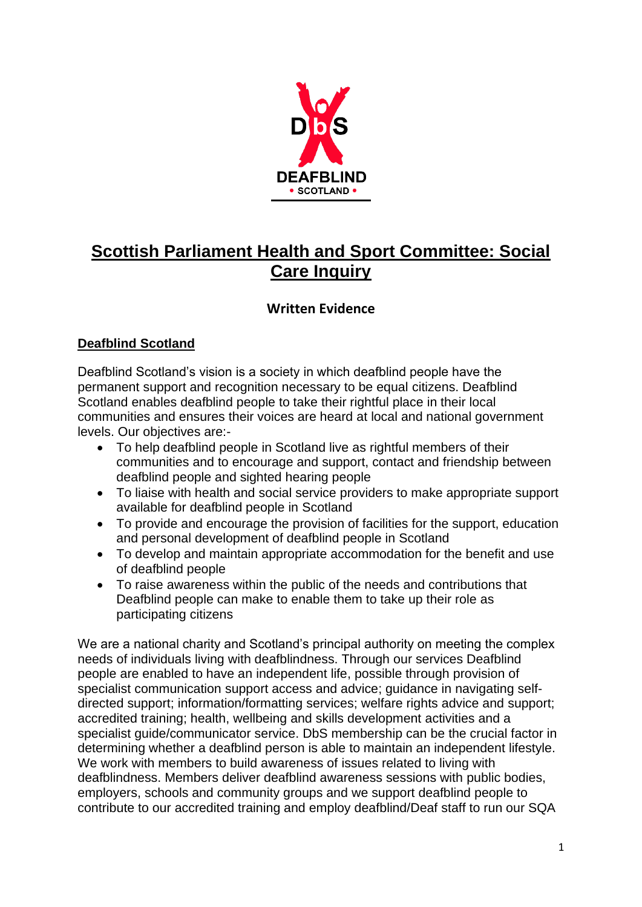

# **Scottish Parliament Health and Sport Committee: Social Care Inquiry**

## **Written Evidence**

### **Deafblind Scotland**

Deafblind Scotland's vision is a society in which deafblind people have the permanent support and recognition necessary to be equal citizens. Deafblind Scotland enables deafblind people to take their rightful place in their local communities and ensures their voices are heard at local and national government levels. Our objectives are:-

- To help deafblind people in Scotland live as rightful members of their communities and to encourage and support, contact and friendship between deafblind people and sighted hearing people
- To liaise with health and social service providers to make appropriate support available for deafblind people in Scotland
- To provide and encourage the provision of facilities for the support, education and personal development of deafblind people in Scotland
- To develop and maintain appropriate accommodation for the benefit and use of deafblind people
- To raise awareness within the public of the needs and contributions that Deafblind people can make to enable them to take up their role as participating citizens

We are a national charity and Scotland's principal authority on meeting the complex needs of individuals living with deafblindness. Through our services Deafblind people are enabled to have an independent life, possible through provision of specialist communication support access and advice; guidance in navigating selfdirected support; information/formatting services; welfare rights advice and support; accredited training; health, wellbeing and skills development activities and a specialist guide/communicator service. DbS membership can be the crucial factor in determining whether a deafblind person is able to maintain an independent lifestyle. We work with members to build awareness of issues related to living with deafblindness. Members deliver deafblind awareness sessions with public bodies, employers, schools and community groups and we support deafblind people to contribute to our accredited training and employ deafblind/Deaf staff to run our SQA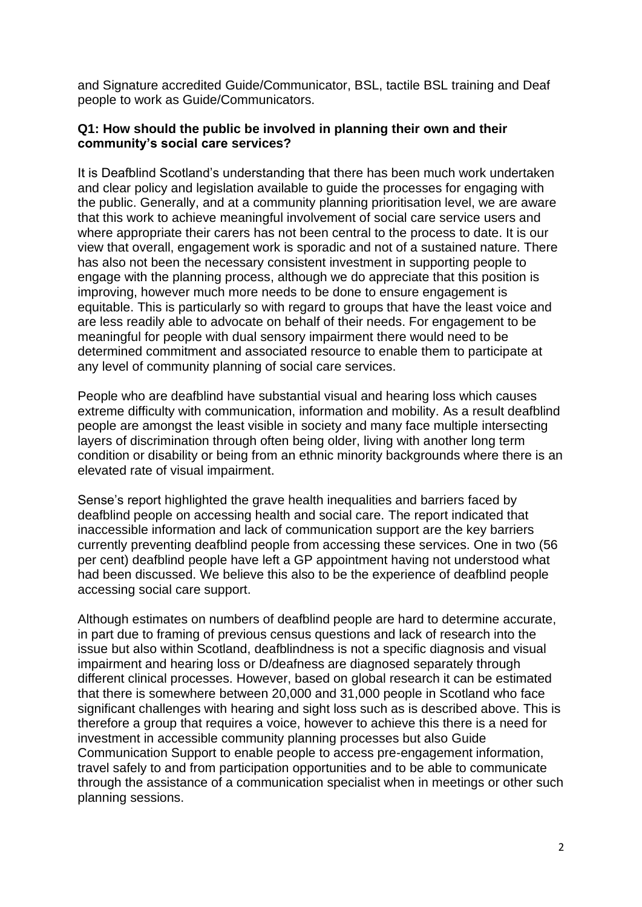and Signature accredited Guide/Communicator, BSL, tactile BSL training and Deaf people to work as Guide/Communicators.

#### **Q1: How should the public be involved in planning their own and their community's social care services?**

It is Deafblind Scotland's understanding that there has been much work undertaken and clear policy and legislation available to guide the processes for engaging with the public. Generally, and at a community planning prioritisation level, we are aware that this work to achieve meaningful involvement of social care service users and where appropriate their carers has not been central to the process to date. It is our view that overall, engagement work is sporadic and not of a sustained nature. There has also not been the necessary consistent investment in supporting people to engage with the planning process, although we do appreciate that this position is improving, however much more needs to be done to ensure engagement is equitable. This is particularly so with regard to groups that have the least voice and are less readily able to advocate on behalf of their needs. For engagement to be meaningful for people with dual sensory impairment there would need to be determined commitment and associated resource to enable them to participate at any level of community planning of social care services.

People who are deafblind have substantial visual and hearing loss which causes extreme difficulty with communication, information and mobility. As a result deafblind people are amongst the least visible in society and many face multiple intersecting layers of discrimination through often being older, living with another long term condition or disability or being from an ethnic minority backgrounds where there is an elevated rate of visual impairment.

Sense's report highlighted the grave health inequalities and barriers faced by deafblind people on accessing health and social care. The report indicated that inaccessible information and lack of communication support are the key barriers currently preventing deafblind people from accessing these services. One in two (56 per cent) deafblind people have left a GP appointment having not understood what had been discussed. We believe this also to be the experience of deafblind people accessing social care support.

Although estimates on numbers of deafblind people are hard to determine accurate, in part due to framing of previous census questions and lack of research into the issue but also within Scotland, deafblindness is not a specific diagnosis and visual impairment and hearing loss or D/deafness are diagnosed separately through different clinical processes. However, based on global research it can be estimated that there is somewhere between 20,000 and 31,000 people in Scotland who face significant challenges with hearing and sight loss such as is described above. This is therefore a group that requires a voice, however to achieve this there is a need for investment in accessible community planning processes but also Guide Communication Support to enable people to access pre-engagement information, travel safely to and from participation opportunities and to be able to communicate through the assistance of a communication specialist when in meetings or other such planning sessions.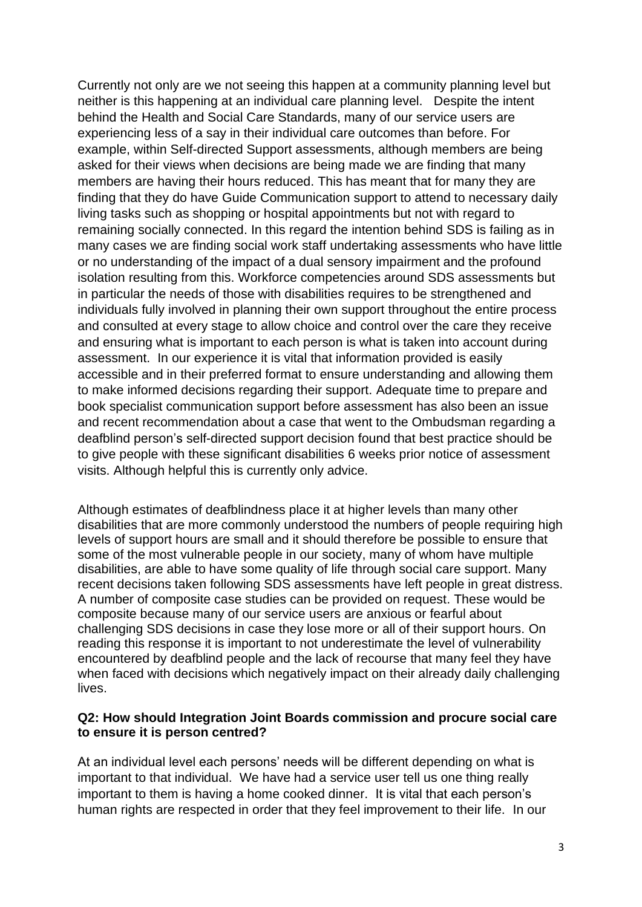Currently not only are we not seeing this happen at a community planning level but neither is this happening at an individual care planning level. Despite the intent behind the Health and Social Care Standards, many of our service users are experiencing less of a say in their individual care outcomes than before. For example, within Self-directed Support assessments, although members are being asked for their views when decisions are being made we are finding that many members are having their hours reduced. This has meant that for many they are finding that they do have Guide Communication support to attend to necessary daily living tasks such as shopping or hospital appointments but not with regard to remaining socially connected. In this regard the intention behind SDS is failing as in many cases we are finding social work staff undertaking assessments who have little or no understanding of the impact of a dual sensory impairment and the profound isolation resulting from this. Workforce competencies around SDS assessments but in particular the needs of those with disabilities requires to be strengthened and individuals fully involved in planning their own support throughout the entire process and consulted at every stage to allow choice and control over the care they receive and ensuring what is important to each person is what is taken into account during assessment. In our experience it is vital that information provided is easily accessible and in their preferred format to ensure understanding and allowing them to make informed decisions regarding their support. Adequate time to prepare and book specialist communication support before assessment has also been an issue and recent recommendation about a case that went to the Ombudsman regarding a deafblind person's self-directed support decision found that best practice should be to give people with these significant disabilities 6 weeks prior notice of assessment visits. Although helpful this is currently only advice.

Although estimates of deafblindness place it at higher levels than many other disabilities that are more commonly understood the numbers of people requiring high levels of support hours are small and it should therefore be possible to ensure that some of the most vulnerable people in our society, many of whom have multiple disabilities, are able to have some quality of life through social care support. Many recent decisions taken following SDS assessments have left people in great distress. A number of composite case studies can be provided on request. These would be composite because many of our service users are anxious or fearful about challenging SDS decisions in case they lose more or all of their support hours. On reading this response it is important to not underestimate the level of vulnerability encountered by deafblind people and the lack of recourse that many feel they have when faced with decisions which negatively impact on their already daily challenging lives.

#### **Q2: How should Integration Joint Boards commission and procure social care to ensure it is person centred?**

At an individual level each persons' needs will be different depending on what is important to that individual. We have had a service user tell us one thing really important to them is having a home cooked dinner. It is vital that each person's human rights are respected in order that they feel improvement to their life. In our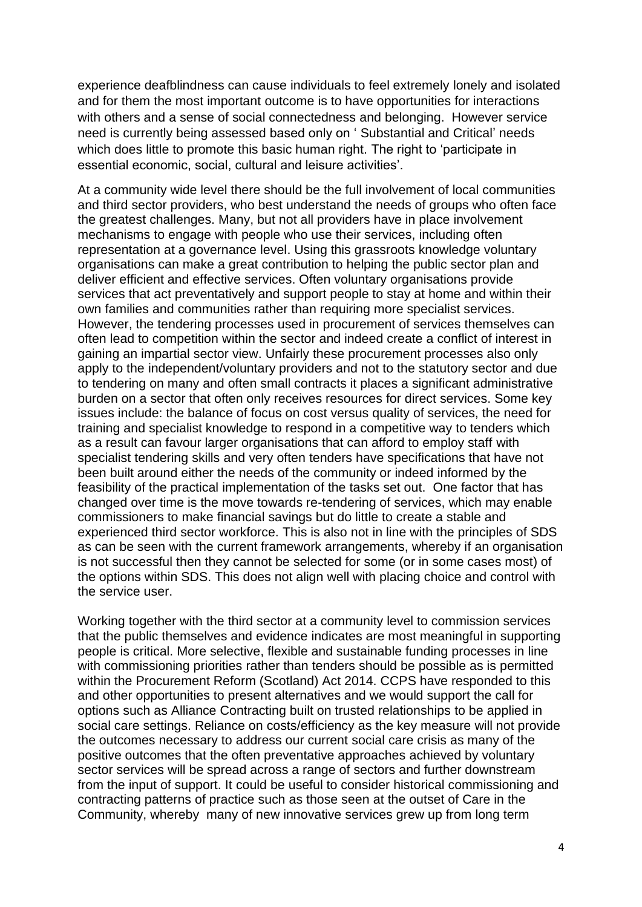experience deafblindness can cause individuals to feel extremely lonely and isolated and for them the most important outcome is to have opportunities for interactions with others and a sense of social connectedness and belonging. However service need is currently being assessed based only on ' Substantial and Critical' needs which does little to promote this basic human right. The right to 'participate in essential economic, social, cultural and leisure activities'.

At a community wide level there should be the full involvement of local communities and third sector providers, who best understand the needs of groups who often face the greatest challenges. Many, but not all providers have in place involvement mechanisms to engage with people who use their services, including often representation at a governance level. Using this grassroots knowledge voluntary organisations can make a great contribution to helping the public sector plan and deliver efficient and effective services. Often voluntary organisations provide services that act preventatively and support people to stay at home and within their own families and communities rather than requiring more specialist services. However, the tendering processes used in procurement of services themselves can often lead to competition within the sector and indeed create a conflict of interest in gaining an impartial sector view. Unfairly these procurement processes also only apply to the independent/voluntary providers and not to the statutory sector and due to tendering on many and often small contracts it places a significant administrative burden on a sector that often only receives resources for direct services. Some key issues include: the balance of focus on cost versus quality of services, the need for training and specialist knowledge to respond in a competitive way to tenders which as a result can favour larger organisations that can afford to employ staff with specialist tendering skills and very often tenders have specifications that have not been built around either the needs of the community or indeed informed by the feasibility of the practical implementation of the tasks set out. One factor that has changed over time is the move towards re-tendering of services, which may enable commissioners to make financial savings but do little to create a stable and experienced third sector workforce. This is also not in line with the principles of SDS as can be seen with the current framework arrangements, whereby if an organisation is not successful then they cannot be selected for some (or in some cases most) of the options within SDS. This does not align well with placing choice and control with the service user.

Working together with the third sector at a community level to commission services that the public themselves and evidence indicates are most meaningful in supporting people is critical. More selective, flexible and sustainable funding processes in line with commissioning priorities rather than tenders should be possible as is permitted within the Procurement Reform (Scotland) Act 2014. CCPS have responded to this and other opportunities to present alternatives and we would support the call for options such as Alliance Contracting built on trusted relationships to be applied in social care settings. Reliance on costs/efficiency as the key measure will not provide the outcomes necessary to address our current social care crisis as many of the positive outcomes that the often preventative approaches achieved by voluntary sector services will be spread across a range of sectors and further downstream from the input of support. It could be useful to consider historical commissioning and contracting patterns of practice such as those seen at the outset of Care in the Community, whereby many of new innovative services grew up from long term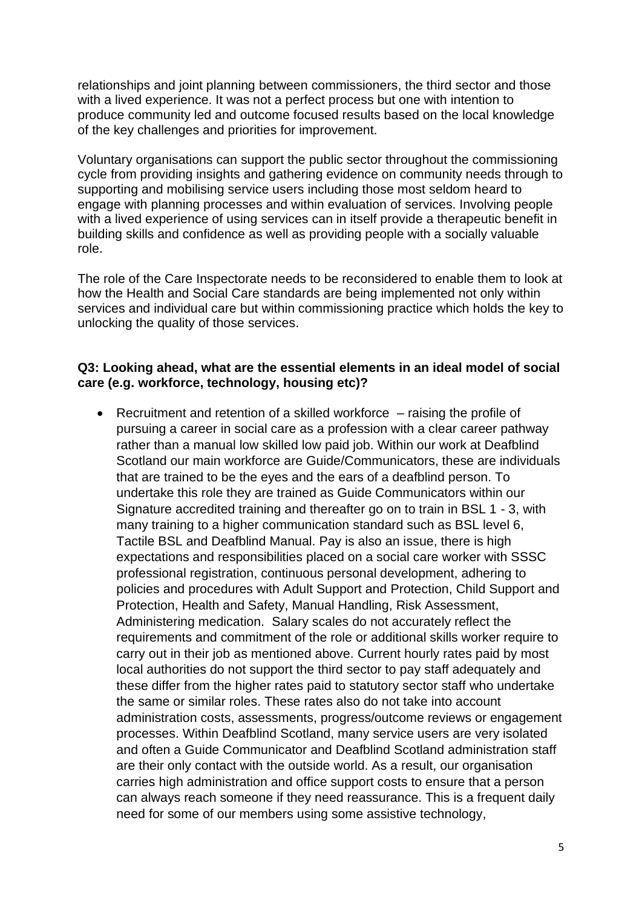relationships and joint planning between commissioners, the third sector and those with a lived experience. It was not a perfect process but one with intention to produce community led and outcome focused results based on the local knowledge of the key challenges and priorities for improvement.

Voluntary organisations can support the public sector throughout the commissioning cycle from providing insights and gathering evidence on community needs through to supporting and mobilising service users including those most seldom heard to engage with planning processes and within evaluation of services. Involving people with a lived experience of using services can in itself provide a therapeutic benefit in building skills and confidence as well as providing people with a socially valuable role.

The role of the Care Inspectorate needs to be reconsidered to enable them to look at how the Health and Social Care standards are being implemented not only within services and individual care but within commissioning practice which holds the key to unlocking the quality of those services.

#### **Q3: Looking ahead, what are the essential elements in an ideal model of social care (e.g. workforce, technology, housing etc)?**

• Recruitment and retention of a skilled workforce – raising the profile of pursuing a career in social care as a profession with a clear career pathway rather than a manual low skilled low paid job. Within our work at Deafblind Scotland our main workforce are Guide/Communicators, these are individuals that are trained to be the eyes and the ears of a deafblind person. To undertake this role they are trained as Guide Communicators within our Signature accredited training and thereafter go on to train in BSL 1 - 3, with many training to a higher communication standard such as BSL level 6, Tactile BSL and Deafblind Manual. Pay is also an issue, there is high expectations and responsibilities placed on a social care worker with SSSC professional registration, continuous personal development, adhering to policies and procedures with Adult Support and Protection, Child Support and Protection, Health and Safety, Manual Handling, Risk Assessment, Administering medication. Salary scales do not accurately reflect the requirements and commitment of the role or additional skills worker require to carry out in their job as mentioned above. Current hourly rates paid by most local authorities do not support the third sector to pay staff adequately and these differ from the higher rates paid to statutory sector staff who undertake the same or similar roles. These rates also do not take into account administration costs, assessments, progress/outcome reviews or engagement processes. Within Deafblind Scotland, many service users are very isolated and often a Guide Communicator and Deafblind Scotland administration staff are their only contact with the outside world. As a result, our organisation carries high administration and office support costs to ensure that a person can always reach someone if they need reassurance. This is a frequent daily need for some of our members using some assistive technology,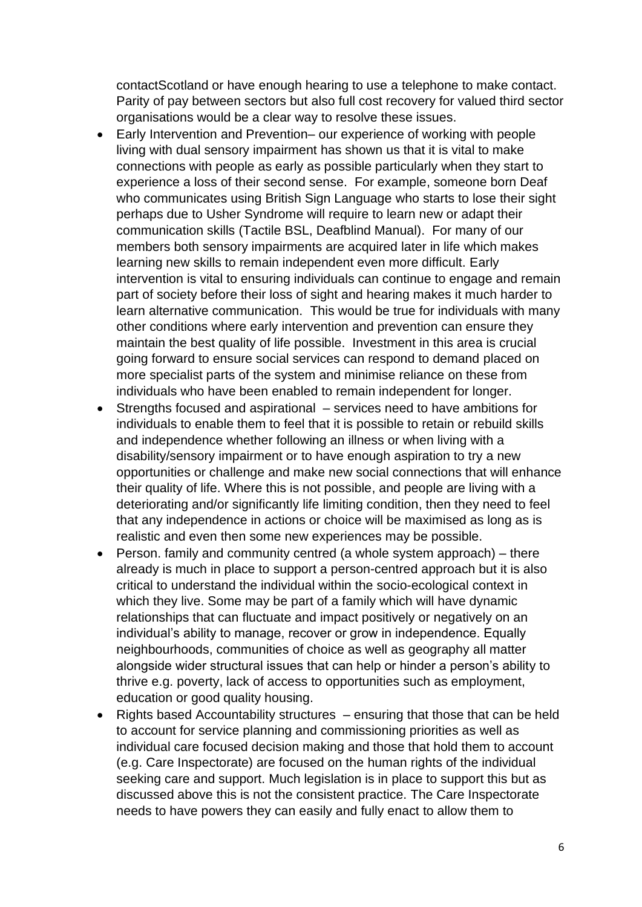contactScotland or have enough hearing to use a telephone to make contact. Parity of pay between sectors but also full cost recovery for valued third sector organisations would be a clear way to resolve these issues.

- Early Intervention and Prevention– our experience of working with people living with dual sensory impairment has shown us that it is vital to make connections with people as early as possible particularly when they start to experience a loss of their second sense. For example, someone born Deaf who communicates using British Sign Language who starts to lose their sight perhaps due to Usher Syndrome will require to learn new or adapt their communication skills (Tactile BSL, Deafblind Manual). For many of our members both sensory impairments are acquired later in life which makes learning new skills to remain independent even more difficult. Early intervention is vital to ensuring individuals can continue to engage and remain part of society before their loss of sight and hearing makes it much harder to learn alternative communication. This would be true for individuals with many other conditions where early intervention and prevention can ensure they maintain the best quality of life possible. Investment in this area is crucial going forward to ensure social services can respond to demand placed on more specialist parts of the system and minimise reliance on these from individuals who have been enabled to remain independent for longer.
- Strengths focused and aspirational services need to have ambitions for individuals to enable them to feel that it is possible to retain or rebuild skills and independence whether following an illness or when living with a disability/sensory impairment or to have enough aspiration to try a new opportunities or challenge and make new social connections that will enhance their quality of life. Where this is not possible, and people are living with a deteriorating and/or significantly life limiting condition, then they need to feel that any independence in actions or choice will be maximised as long as is realistic and even then some new experiences may be possible.
- Person. family and community centred (a whole system approach) there already is much in place to support a person-centred approach but it is also critical to understand the individual within the socio-ecological context in which they live. Some may be part of a family which will have dynamic relationships that can fluctuate and impact positively or negatively on an individual's ability to manage, recover or grow in independence. Equally neighbourhoods, communities of choice as well as geography all matter alongside wider structural issues that can help or hinder a person's ability to thrive e.g. poverty, lack of access to opportunities such as employment, education or good quality housing.
- Rights based Accountability structures ensuring that those that can be held to account for service planning and commissioning priorities as well as individual care focused decision making and those that hold them to account (e.g. Care Inspectorate) are focused on the human rights of the individual seeking care and support. Much legislation is in place to support this but as discussed above this is not the consistent practice. The Care Inspectorate needs to have powers they can easily and fully enact to allow them to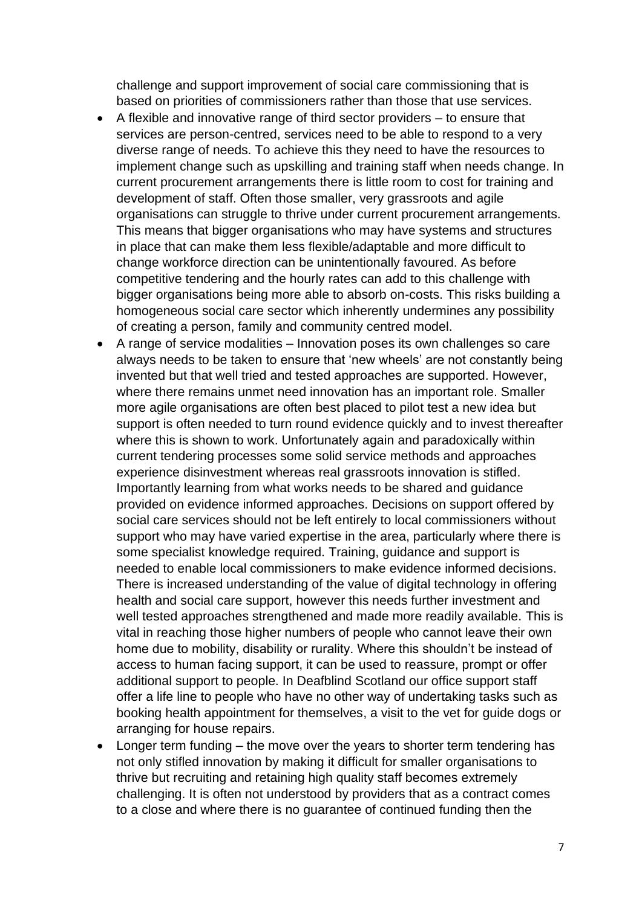challenge and support improvement of social care commissioning that is based on priorities of commissioners rather than those that use services.

- A flexible and innovative range of third sector providers to ensure that services are person-centred, services need to be able to respond to a very diverse range of needs. To achieve this they need to have the resources to implement change such as upskilling and training staff when needs change. In current procurement arrangements there is little room to cost for training and development of staff. Often those smaller, very grassroots and agile organisations can struggle to thrive under current procurement arrangements. This means that bigger organisations who may have systems and structures in place that can make them less flexible/adaptable and more difficult to change workforce direction can be unintentionally favoured. As before competitive tendering and the hourly rates can add to this challenge with bigger organisations being more able to absorb on-costs. This risks building a homogeneous social care sector which inherently undermines any possibility of creating a person, family and community centred model.
- A range of service modalities Innovation poses its own challenges so care always needs to be taken to ensure that 'new wheels' are not constantly being invented but that well tried and tested approaches are supported. However, where there remains unmet need innovation has an important role. Smaller more agile organisations are often best placed to pilot test a new idea but support is often needed to turn round evidence quickly and to invest thereafter where this is shown to work. Unfortunately again and paradoxically within current tendering processes some solid service methods and approaches experience disinvestment whereas real grassroots innovation is stifled. Importantly learning from what works needs to be shared and guidance provided on evidence informed approaches. Decisions on support offered by social care services should not be left entirely to local commissioners without support who may have varied expertise in the area, particularly where there is some specialist knowledge required. Training, guidance and support is needed to enable local commissioners to make evidence informed decisions. There is increased understanding of the value of digital technology in offering health and social care support, however this needs further investment and well tested approaches strengthened and made more readily available. This is vital in reaching those higher numbers of people who cannot leave their own home due to mobility, disability or rurality. Where this shouldn't be instead of access to human facing support, it can be used to reassure, prompt or offer additional support to people. In Deafblind Scotland our office support staff offer a life line to people who have no other way of undertaking tasks such as booking health appointment for themselves, a visit to the vet for guide dogs or arranging for house repairs.
- Longer term funding the move over the years to shorter term tendering has not only stifled innovation by making it difficult for smaller organisations to thrive but recruiting and retaining high quality staff becomes extremely challenging. It is often not understood by providers that as a contract comes to a close and where there is no guarantee of continued funding then the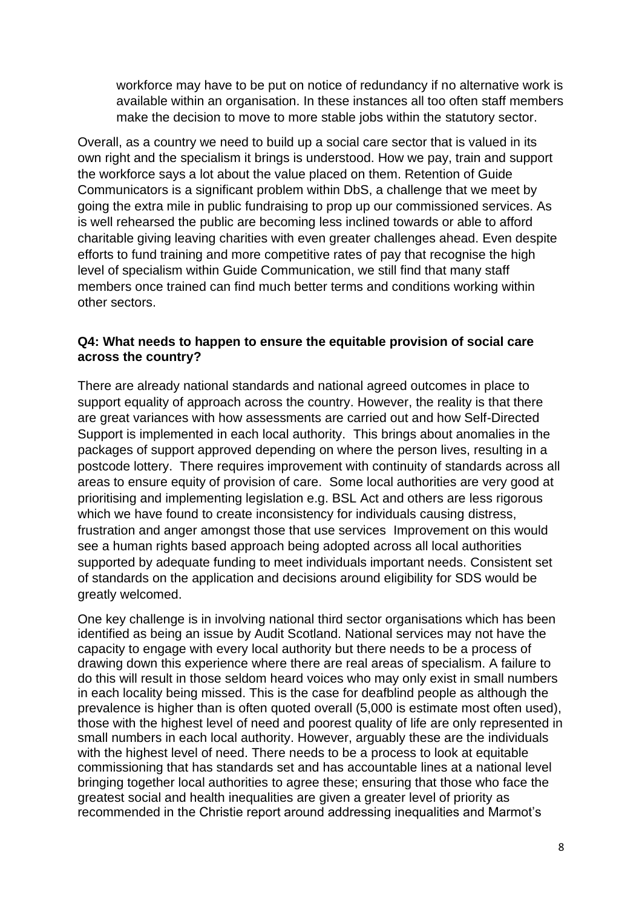workforce may have to be put on notice of redundancy if no alternative work is available within an organisation. In these instances all too often staff members make the decision to move to more stable jobs within the statutory sector.

Overall, as a country we need to build up a social care sector that is valued in its own right and the specialism it brings is understood. How we pay, train and support the workforce says a lot about the value placed on them. Retention of Guide Communicators is a significant problem within DbS, a challenge that we meet by going the extra mile in public fundraising to prop up our commissioned services. As is well rehearsed the public are becoming less inclined towards or able to afford charitable giving leaving charities with even greater challenges ahead. Even despite efforts to fund training and more competitive rates of pay that recognise the high level of specialism within Guide Communication, we still find that many staff members once trained can find much better terms and conditions working within other sectors.

#### **Q4: What needs to happen to ensure the equitable provision of social care across the country?**

There are already national standards and national agreed outcomes in place to support equality of approach across the country. However, the reality is that there are great variances with how assessments are carried out and how Self-Directed Support is implemented in each local authority. This brings about anomalies in the packages of support approved depending on where the person lives, resulting in a postcode lottery. There requires improvement with continuity of standards across all areas to ensure equity of provision of care. Some local authorities are very good at prioritising and implementing legislation e.g. BSL Act and others are less rigorous which we have found to create inconsistency for individuals causing distress, frustration and anger amongst those that use services Improvement on this would see a human rights based approach being adopted across all local authorities supported by adequate funding to meet individuals important needs. Consistent set of standards on the application and decisions around eligibility for SDS would be greatly welcomed.

One key challenge is in involving national third sector organisations which has been identified as being an issue by Audit Scotland. National services may not have the capacity to engage with every local authority but there needs to be a process of drawing down this experience where there are real areas of specialism. A failure to do this will result in those seldom heard voices who may only exist in small numbers in each locality being missed. This is the case for deafblind people as although the prevalence is higher than is often quoted overall (5,000 is estimate most often used), those with the highest level of need and poorest quality of life are only represented in small numbers in each local authority. However, arguably these are the individuals with the highest level of need. There needs to be a process to look at equitable commissioning that has standards set and has accountable lines at a national level bringing together local authorities to agree these; ensuring that those who face the greatest social and health inequalities are given a greater level of priority as recommended in the Christie report around addressing inequalities and Marmot's